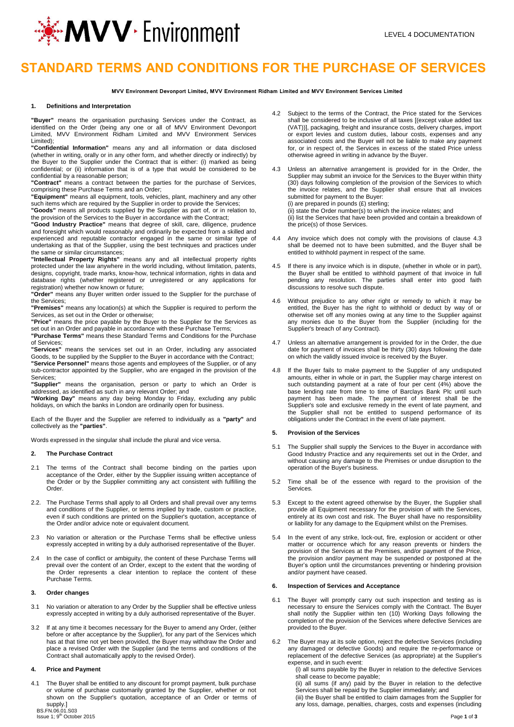

# **STANDARD TERMS AND CONDITIONS FOR THE PURCHASE OF SERVICES**

**MVV Environment Devonport Limited, MVV Environment Ridham Limited and MVV Environment Services Limited**

#### **1. Definitions and Interpretation**

**"Buyer"** means the organisation purchasing Services under the Contract, as identified on the Order (being any one or all of MVV Environment Devonport Limited, MVV Environment Ridham Limited and MVV Environment Services Limited);

**"Confidential Information"** means any and all information or data disclosed (whether in writing, orally or in any other form, and whether directly or indirectly) by the Buyer to the Supplier under the Contract that is either: (i) marked as being confidential; or (ii) information that is of a type that would be considered to be confidential by a reasonable person;

**"Contract"** means a contract between the parties for the purchase of Services, comprising these Purchase Terms and an Order;

**"Equipment"** means all equipment, tools, vehicles, plant, machinery and any other such items which are required by the Supplier in order to provide the Services;

**"Goods"** means all products supplied by the Supplier as part of, or in relation to, the provision of the Services to the Buyer in accordance with the Contract;

**"Good Industry Practice"** means that degree of skill, care, diligence, prudence and foresight which would reasonably and ordinarily be expected from a skilled and experienced and reputable contractor engaged in the same or similar type of undertaking as that of the Supplier, using the best techniques and practices under the same or similar circumstances;

**"Intellectual Property Rights"** means any and all intellectual property rights protected under the law anywhere in the world including, without limitation, patents, designs, copyright, trade marks, know-how, technical information, rights in data and database rights (whether registered or unregistered or any applications for registration) whether now known or future;

**"Order"** means any Buyer written order issued to the Supplier for the purchase of the Services;

**"Premises"** means any location(s) at which the Supplier is required to perform the Services, as set out in the Order or otherwise;

**"Price"** means the price payable by the Buyer to the Supplier for the Services as set out in an Order and payable in accordance with these Purchase Terms;

**"Purchase Terms"** means these Standard Terms and Conditions for the Purchase of Services;

**"Services"** means the services set out in an Order, including any associated Goods, to be supplied by the Supplier to the Buyer in accordance with the Contract; **"Service Personnel"** means those agents and employees of the Supplier, or of any sub-contractor appointed by the Supplier, who are engaged in the provision of the Services;

**"Supplier"** means the organisation, person or party to which an Order is addressed, as identified as such in any relevant Order; and

**"Working Day"** means any day being Monday to Friday, excluding any public holidays, on which the banks in London are ordinarily open for business.

Each of the Buyer and the Supplier are referred to individually as a **"party"** and collectively as the **"parties"**.

Words expressed in the singular shall include the plural and vice versa.

## **2. The Purchase Contract**

- 2.1 The terms of the Contract shall become binding on the parties upon acceptance of the Order, either by the Supplier issuing written acceptance of the Order or by the Supplier committing any act consistent with fulfilling the **Order**
- 2.2. The Purchase Terms shall apply to all Orders and shall prevail over any terms and conditions of the Supplier, or terms implied by trade, custom or practice, even if such conditions are printed on the Supplier's quotation, acceptance of the Order and/or advice note or equivalent document.
- 2.3 No variation or alteration or the Purchase Terms shall be effective unless expressly accepted in writing by a duly authorised representative of the Buyer.
- 2.4 In the case of conflict or ambiguity, the content of these Purchase Terms will prevail over the content of an Order, except to the extent that the wording of the Order represents a clear intention to replace the content of these Purchase Terms.

### **3. Order changes**

- 3.1 No variation or alteration to any Order by the Supplier shall be effective unless expressly accepted in writing by a duly authorised representative of the Buyer.
- 3.2 If at any time it becomes necessary for the Buyer to amend any Order, (either before or after acceptance by the Supplier), for any part of the Services which has at that time not yet been provided, the Buyer may withdraw the Order and place a revised Order with the Supplier (and the terms and conditions of the Contract shall automatically apply to the revised Order).

## **4. Price and Payment**

4.1 The Buyer shall be entitled to any discount for prompt payment, bulk purchase or volume of purchase customarily granted by the Supplier, whether or not shown on the Supplier's quotation, acceptance of an Order or terms of supply.]

BS.FN.06.01.S03<br>Issue 1; 9<sup>th</sup> Octob  $\hbox{th}$  October 2015  $\hbox{Page 1 of 3}$ 

- 4.2 Subject to the terms of the Contract, the Price stated for the Services shall be considered to be inclusive of all taxes [(except value added tax (VAT))], packaging, freight and insurance costs, delivery charges, import or export levies and custom duties, labour costs, expenses and any associated costs and the Buyer will not be liable to make any payment for, or in respect of, the Services in excess of the stated Price unless otherwise agreed in writing in advance by the Buyer.
- 4.3 Unless an alternative arrangement is provided for in the Order, the Supplier may submit an invoice for the Services to the Buyer within thirty (30) days following completion of the provision of the Services to which the invoice relates, and the Supplier shall ensure that all invoices submitted for payment to the Buyer: (i) are prepared in pounds (£) sterling; (ii) state the Order number(s) to which the invoice relates; and

(ii) list the Services that have been provided and contain a breakdown of the price(s) of those Services.

- 4.4 Any invoice which does not comply with the provisions of clause 4.3 shall be deemed not to have been submitted, and the Buyer shall be entitled to withhold payment in respect of the same.
- 4.5 If there is any invoice which is in dispute, (whether in whole or in part), the Buyer shall be entitled to withhold payment of that invoice in full pending any resolution. The parties shall enter into good faith discussions to resolve such dispute.
- 4.6 Without prejudice to any other right or remedy to which it may be entitled, the Buyer has the right to withhold or deduct by way of or otherwise set off any monies owing at any time to the Supplier against any monies due to the Buyer from the Supplier (including for the Supplier's breach of any Contract).
- 4.7 Unless an alternative arrangement is provided for in the Order, the due date for payment of invoices shall be thirty (30) days following the date on which the validly issued invoice is received by the Buyer.
- 4.8 If the Buyer fails to make payment to the Supplier of any undisputed amounts, either in whole or in part, the Supplier may charge interest on such outstanding payment at a rate of four per cent (4%) above the base lending rate from time to time of Barclays Bank Plc until such payment has been made. The payment of interest shall be the Supplier's sole and exclusive remedy in the event of late payment, and the Supplier shall not be entitled to suspend performance of its obligations under the Contract in the event of late payment.

#### **5. Provision of the Services**

- 5.1 The Supplier shall supply the Services to the Buyer in accordance with Good Industry Practice and any requirements set out in the Order, and without causing any damage to the Premises or undue disruption to the operation of the Buyer's business.
- 5.2 Time shall be of the essence with regard to the provision of the **Services**
- 5.3 Except to the extent agreed otherwise by the Buyer, the Supplier shall provide all Equipment necessary for the provision of with the Services, entirely at its own cost and risk. The Buyer shall have no responsibility or liability for any damage to the Equipment whilst on the Premises.
- 5.4 In the event of any strike, lock-out, fire, explosion or accident or other matter or occurrence which for any reason prevents or hinders the provision of the Services at the Premises, and/or payment of the Price, the provision and/or payment may be suspended or postponed at the Buyer's option until the circumstances preventing or hindering provision and/or payment have ceased.

### **6. Inspection of Services and Acceptance**

- 6.1 The Buyer will promptly carry out such inspection and testing as is necessary to ensure the Services comply with the Contract. The Buyer shall notify the Supplier within ten (10) Working Days following the completion of the provision of the Services where defective Services are provided to the Buyer.
- 6.2 The Buyer may at its sole option, reject the defective Services (including any damaged or defective Goods) and require the re-performance or replacement of the defective Services (as appropriate) at the Supplier's expense, and in such event:

(i) all sums payable by the Buyer in relation to the defective Services shall cease to become payable;

(ii) all sums (if any) paid by the Buyer in relation to the defective Services shall be repaid by the Supplier immediately; and

(iii) the Buyer shall be entitled to claim damages from the Supplier for any loss, damage, penalties, charges, costs and expenses (including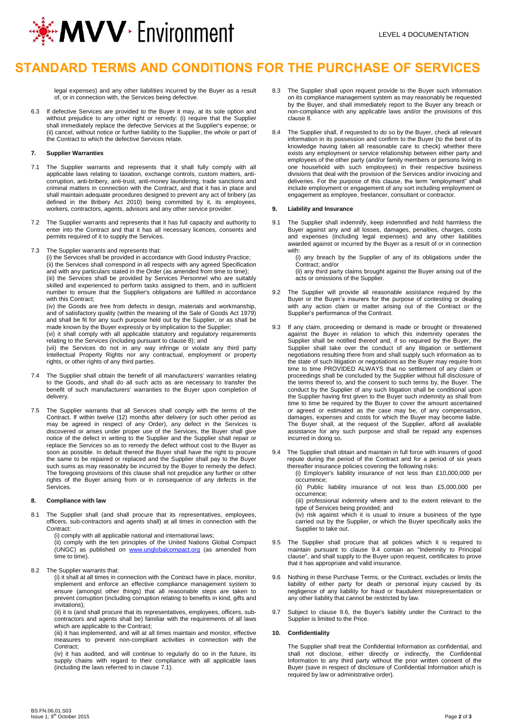

# **STANDARD TERMS AND CONDITIONS FOR THE PURCHASE OF SERVICES**

legal expenses) and any other liabilities incurred by the Buyer as a result of, or in connection with, the Services being defective.

6.3 If defective Services are provided to the Buyer it may, at its sole option and without prejudice to any other right or remedy: (i) require that the Supplier shall immediately replace the defective Services at the Supplier's expense; or (ii) cancel, without notice or further liability to the Supplier, the whole or part of the Contract to which the defective Services relate.

### **7. Supplier Warranties**

- 7.1 The Supplier warrants and represents that it shall fully comply with all applicable laws relating to taxation, exchange controls, custom matters, anticorruption, anti-bribery, anti-trust, anti-money laundering, trade sanctions and criminal matters in connection with the Contract, and that it has in place and shall maintain adequate procedures designed to prevent any act of bribery (as defined in the Bribery Act 2010) being committed by it, its employees, workers, contractors, agents, advisors and any other service provider.
- 7.2 The Supplier warrants and represents that it has full capacity and authority to enter into the Contract and that it has all necessary licences, consents and permits required of it to supply the Services.
- 7.3 The Supplier warrants and represents that:

(i) the Services shall be provided in accordance with Good Industry Practice; (ii) the Services shall correspond in all respects with any agreed Specification and with any particulars stated in the Order (as amended from time to time); (iii) the Services shall be provided by Services Personnel who are suitably skilled and experienced to perform tasks assigned to them, and in sufficient number to ensure that the Supplier's obligations are fulfilled in accordance with this Contract:

(iv) the Goods are free from defects in design, materials and workmanship, and of satisfactory quality (within the meaning of the Sale of Goods Act 1979) and shall be fit for any such purpose held out by the Supplier, or as shall be made known by the Buyer expressly or by implication to the Supplier;

(vi) it shall comply with all applicable statutory and regulatory requirements relating to the Services (including pursuant to clause 8); and

(vii) the Services do not in any way infringe or violate any third party Intellectual Property Rights nor any contractual, employment or property rights, or other rights of any third parties.

- 7.4 The Supplier shall obtain the benefit of all manufacturers' warranties relating to the Goods, and shall do all such acts as are necessary to transfer the benefit of such manufacturers' warranties to the Buyer upon completion of delivery.
- 7.5 The Supplier warrants that all Services shall comply with the terms of the Contract. If within twelve (12) months after delivery (or such other period as may be agreed in respect of any Order), any defect in the Services is discovered or arises under proper use of the Services, the Buyer shall give notice of the defect in writing to the Supplier and the Supplier shall repair or replace the Services so as to remedy the defect without cost to the Buyer as soon as possible. In default thereof the Buyer shall have the right to procure the same to be repaired or replaced and the Supplier shall pay to the Buyer such sums as may reasonably be incurred by the Buyer to remedy the defect. The foregoing provisions of this clause shall not prejudice any further or other rights of the Buyer arising from or in consequence of any defects in the Services.

#### **8. Compliance with law**

8.1 The Supplier shall (and shall procure that its representatives, employees, officers, sub-contractors and agents shall) at all times in connection with the Contract:

(i) comply with all applicable national and international laws; (ii) comply with the ten principles of the United Nations Global Compact (UNGC) as published on [www.unglobalcompact.org](http://www.unglobalcompact.org/) (as amended from time to time).

8.2 The Supplier warrants that:

(i) it shall at all times in connection with the Contract have in place, monitor, implement and enforce an effective compliance management system to ensure (amongst other things) that all reasonable steps are taken to prevent corruption (including corruption relating to benefits in kind, gifts and invitations);

(ii) it is (and shall procure that its representatives, employees, officers, subcontractors and agents shall be) familiar with the requirements of all laws which are applicable to the Contract;

(iii) it has implemented, and will at all times maintain and monitor, effective measures to prevent non-compliant activities in connection with the Contract;

(iv) it has audited, and will continue to regularly do so in the future, its supply chains with regard to their compliance with all applicable laws (including the laws referred to in clause 7.1).

- 8.3 The Supplier shall upon request provide to the Buyer such information on its compliance management system as may reasonably be requested by the Buyer, and shall immediately report to the Buyer any breach or non-compliance with any applicable laws and/or the provisions of this clause 8.
- 8.4 The Supplier shall, if requested to do so by the Buyer, check all relevant information in its possession and confirm to the Buyer (to the best of its knowledge having taken all reasonable care to check) whether there exists any employment or service relationship between either party and employees of the other party (and/or family members or persons living in one household with such employees) in their respective business divisions that deal with the provision of the Services and/or invoicing and deliveries. For the purpose of this clause, the term "employment" shall include employment or engagement of any sort including employment or engagement as employee, freelancer, consultant or contractor.

## **9. Liability and Insurance**

9.1 The Supplier shall indemnify, keep indemnified and hold harmless the Buyer against any and all losses, damages, penalties, charges, costs and expenses (including legal expenses) and any other liabilities awarded against or incurred by the Buyer as a result of or in connection with:

> (i) any breach by the Supplier of any of its obligations under the Contract; and/or

> (ii) any third party claims brought against the Buyer arising out of the acts or omissions of the Supplier.

- 9.2 The Supplier will provide all reasonable assistance required by the Buyer or the Buyer's insurers for the purpose of contesting or dealing with any action claim or matter arising out of the Contract or the Supplier's performance of the Contract.
- 9.3 If any claim, proceeding or demand is made or brought or threatened against the Buyer in relation to which this indemnity operates the Supplier shall be notified thereof and, if so required by the Buyer, the Supplier shall take over the conduct of any litigation or settlement negotiations resulting there from and shall supply such information as to the state of such litigation or negotiations as the Buyer may require from time to time PROVIDED ALWAYS that no settlement of any claim or proceedings shall be concluded by the Supplier without full disclosure of the terms thereof to, and the consent to such terms by, the Buyer. The conduct by the Supplier of any such litigation shall be conditional upon the Supplier having first given to the Buyer such indemnity as shall from time to time be required by the Buyer to cover the amount ascertained or agreed or estimated as the case may be, of any compensation, damages, expenses and costs for which the Buyer may become liable. The Buyer shall, at the request of the Supplier, afford all available assistance for any such purpose and shall be repaid any expenses incurred in doing so.
- 9.4 The Supplier shall obtain and maintain in full force with insurers of good repute during the period of the Contract and for a period of six years thereafter insurance policies covering the following risks:

(i) Employer's liability insurance of not less than £10,000,000 per occurrence;

(ii) Public liability insurance of not less than £5,000,000 per occurrence;

(iii) professional indemnity where and to the extent relevant to the type of Services being provided; and

(iv) risk against which it is usual to insure a business of the type carried out by the Supplier, or which the Buyer specifically asks the Supplier to take out.

- The Supplier shall procure that all policies which it is required to maintain pursuant to clause 9.4 contain an "Indemnity to Principal clause", and shall supply to the Buyer upon request, certificates to prove that it has appropriate and valid insurance.
- 9.6 Nothing in these Purchase Terms, or the Contract, excludes or limits the liability of either party for death or personal injury caused by its negligence of any liability for fraud or fraudulent misrepresentation or any other liability that cannot be restricted by law.
- 9.7 Subject to clause 9.6, the Buyer's liability under the Contract to the Supplier is limited to the Price.

### **10. Confidentiality**

The Supplier shall treat the Confidential Information as confidential, and shall not disclose, either directly or indirectly, the Confidential Information to any third party without the prior written consent of the Buyer (save in respect of disclosure of Confidential Information which is required by law or administrative order).